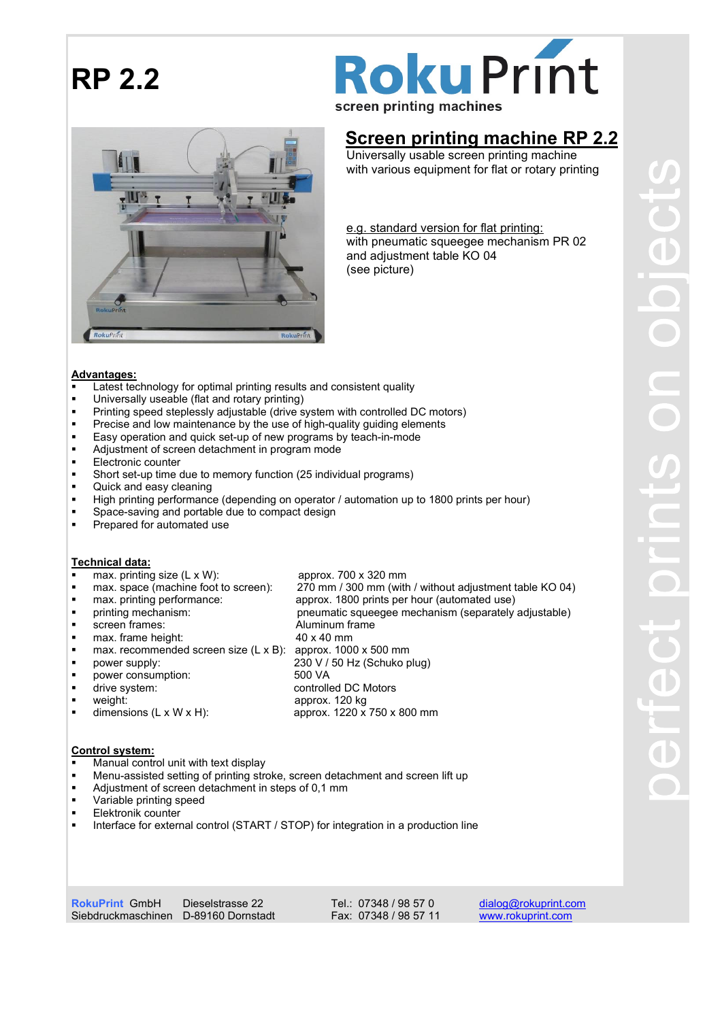



# Screen printing machine RP 2.2

 Universally usable screen printing machine with various equipment for flat or rotary printing

 e.g. standard version for flat printing: with pneumatic squeegee mechanism PR 02 and adjustment table KO 04 (see picture)

#### Advantages:

- Latest technology for optimal printing results and consistent quality
- Universally useable (flat and rotary printing)
- **Printing speed steplessly adjustable (drive system with controlled DC motors)**
- **Precise and low maintenance by the use of high-quality guiding elements**
- Easy operation and quick set-up of new programs by teach-in-mode
- Adjustment of screen detachment in program mode
- **Electronic counter**
- Short set-up time due to memory function (25 individual programs)
- **Quick and easy cleaning**
- High printing performance (depending on operator / automation up to 1800 prints per hour)
- **Space-saving and portable due to compact design<br>• Prepared for automated use**
- Prepared for automated use

#### Technical data:

- max. printing size (L x W): approx. 700 x 320 mm
- max. space (machine foot to screen): 270 mm / 300 mm (with / without adjustment table KO 04)
- **nax.** printing performance: approx. 1800 prints per hour (automated use)
- **•** printing mechanism: pneumatic squeegee mechanism (separately adjustable)
- 
- screen frames: Aluminum frame<br>■ max. frame height: 40 x 40 mm
- max. frame height: 40 x 40 mm<br>max. recommended screen size (L x B): approx. 1000 x 500 mm  $\blacksquare$  max. recommended screen size (L x B):
- power supply: 230 V / 50 Hz (Schuko plug)
- power consumption: 500 VA
- **drive system:** controlled DC Motors
- weight: approx. 120 kg
- dimensions  $(L \times W \times H)$ : approx. 1220 x 750 x 800 mm

#### Control system:

- Manual control unit with text display
- Menu-assisted setting of printing stroke, screen detachment and screen lift up
- Adjustment of screen detachment in steps of 0,1 mm
- **Variable printing speed**
- Elektronik counter
- Interface for external control (START / STOP) for integration in a production line

RokuPrint GmbH Siebdruckmaschinen D-89160 Dornstadt Dieselstrasse 22

Tel.: 07348 / 98 57 0 Fax: 07348 / 98 57 11

dialog@rokuprint.com www.rokuprint.com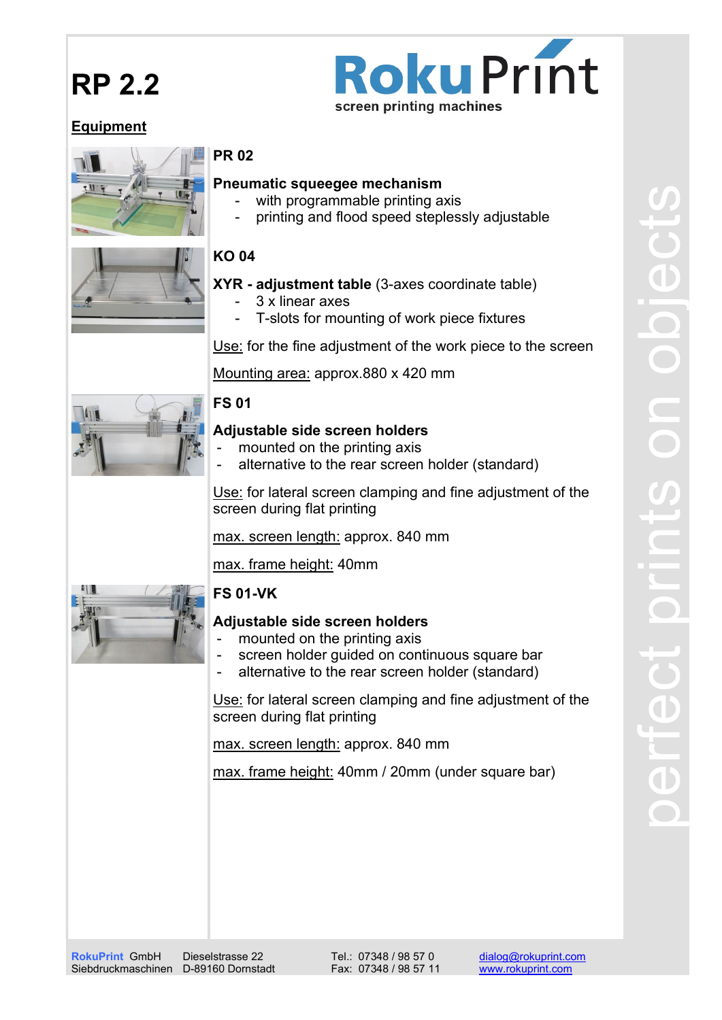# Equipment



### PR 02

### Pneumatic squeegee mechanism

- with programmable printing axis
- printing and flood speed steplessly adjustable

# KO 04

- XYR adjustment table (3-axes coordinate table)
	- 3 x linear axes
	- T-slots for mounting of work piece fixtures

Use: for the fine adjustment of the work piece to the screen

Mounting area: approx.880 x 420 mm



# FS 01

# Adjustable side screen holders

- mounted on the printing axis
- alternative to the rear screen holder (standard)

Use: for lateral screen clamping and fine adjustment of the screen during flat printing

max. screen length: approx. 840 mm

max. frame height: 40mm



# FS 01-VK

# Adjustable side screen holders

- mounted on the printing axis
- screen holder guided on continuous square bar
- alternative to the rear screen holder (standard)

Use: for lateral screen clamping and fine adjustment of the screen during flat printing

max. screen length: approx. 840 mm

max. frame height: 40mm / 20mm (under square bar)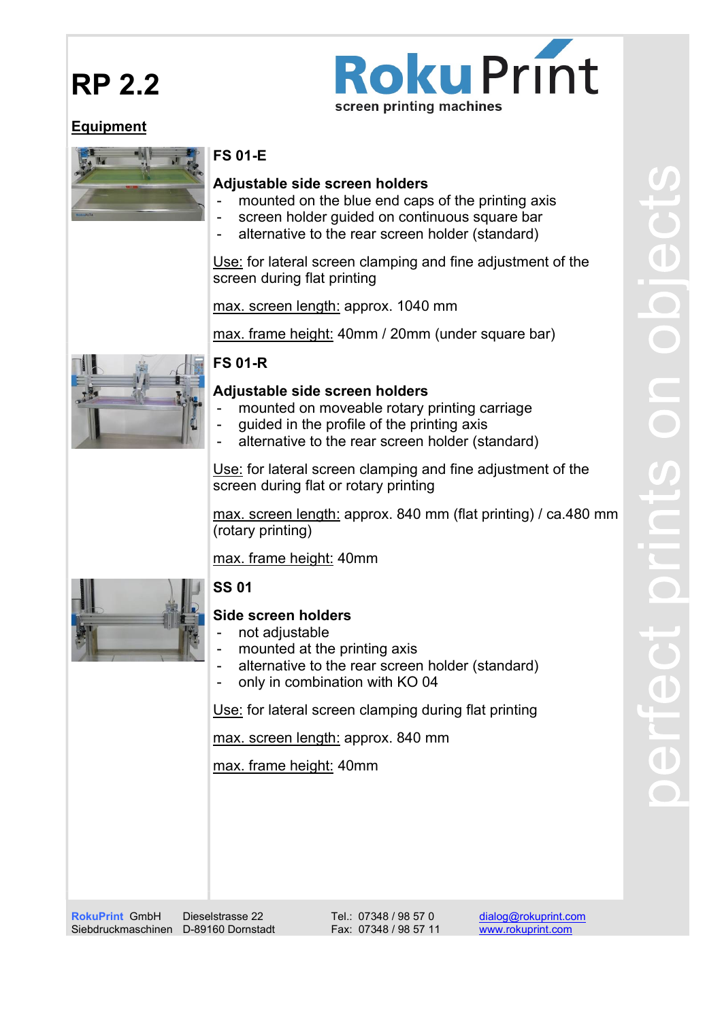# Equipment



### FS 01-E

#### Adjustable side screen holders

mounted on the blue end caps of the printing axis

screen printing machines

**Roku** Print

- screen holder guided on continuous square bar
- alternative to the rear screen holder (standard)

Use: for lateral screen clamping and fine adjustment of the screen during flat printing

max. screen length: approx. 1040 mm

max. frame height: 40mm / 20mm (under square bar)

# FS 01-R

#### Adjustable side screen holders

- mounted on moveable rotary printing carriage
- guided in the profile of the printing axis
- alternative to the rear screen holder (standard)

Use: for lateral screen clamping and fine adjustment of the screen during flat or rotary printing

max. screen length: approx. 840 mm (flat printing) / ca.480 mm (rotary printing)

max. frame height: 40mm



# SS 01

### Side screen holders

- not adjustable
- mounted at the printing axis
- alternative to the rear screen holder (standard)
- only in combination with KO 04

Use: for lateral screen clamping during flat printing

max. screen length: approx. 840 mm

max. frame height: 40mm

RokuPrint GmbH Siebdruckmaschinen D-89160 Dornstadt

Dieselstrasse 22

Tel.: 07348 / 98 57 0 Fax: 07348 / 98 57 11

dialog@rokuprint.com www.rokuprint.com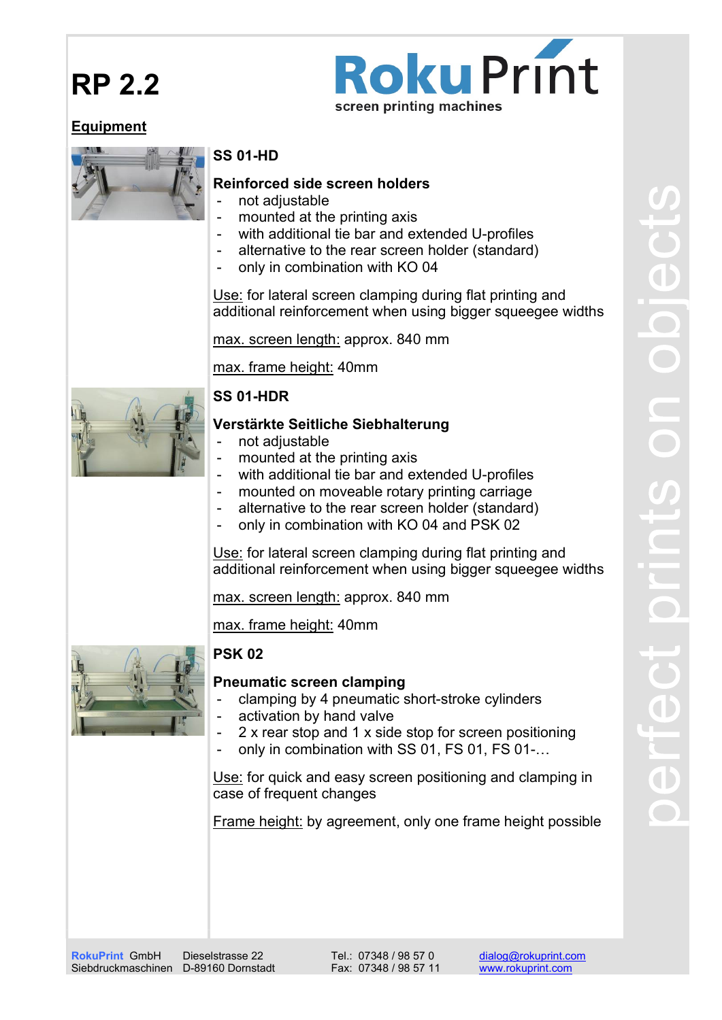# **Roku Print** screen printing machines

# Equipment



# SS 01-HD

#### Reinforced side screen holders

- not adjustable
- mounted at the printing axis
- with additional tie bar and extended U-profiles
- alternative to the rear screen holder (standard)
- only in combination with KO 04

Use: for lateral screen clamping during flat printing and additional reinforcement when using bigger squeegee widths

max. screen length: approx. 840 mm

max. frame height: 40mm

### SS 01-HDR

#### Verstärkte Seitliche Siebhalterung

- not adjustable
- mounted at the printing axis
- with additional tie bar and extended U-profiles
- mounted on moveable rotary printing carriage
- alternative to the rear screen holder (standard)
- only in combination with KO 04 and PSK 02

Use: for lateral screen clamping during flat printing and additional reinforcement when using bigger squeegee widths

max. screen length: approx. 840 mm

max. frame height: 40mm



# **PSK 02**

#### Pneumatic screen clamping

- clamping by 4 pneumatic short-stroke cylinders
- activation by hand valve
- 2 x rear stop and 1 x side stop for screen positioning
- only in combination with SS 01, FS 01, FS 01-...

Use: for quick and easy screen positioning and clamping in case of frequent changes

Frame height: by agreement, only one frame height possible

Dieselstrasse 22

Tel.: 07348 / 98 57 0 Fax: 07348 / 98 57 11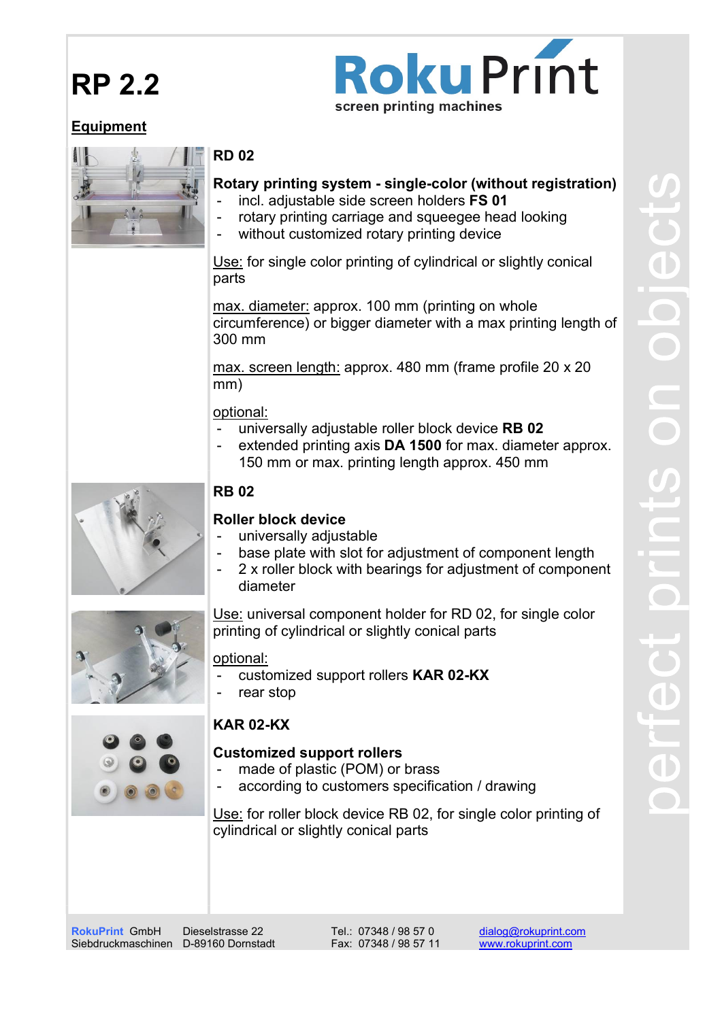

# Equipment



### RD 02

### Rotary printing system - single-color (without registration)

- incl. adjustable side screen holders FS 01
- rotary printing carriage and squeegee head looking
- without customized rotary printing device

Use: for single color printing of cylindrical or slightly conical parts

max. diameter: approx. 100 mm (printing on whole circumference) or bigger diameter with a max printing length of 300 mm

max. screen length: approx. 480 mm (frame profile 20 x 20 mm)

#### optional:

- universally adjustable roller block device RB 02
- extended printing axis DA 1500 for max. diameter approx. 150 mm or max. printing length approx. 450 mm



### RB 02

#### Roller block device

- universally adjustable
- base plate with slot for adjustment of component length
- 2 x roller block with bearings for adjustment of component diameter



Use: universal component holder for RD 02, for single color printing of cylindrical or slightly conical parts

#### optional:

- customized support rollers KAR 02-KX
- rear stop



### KAR 02-KX

#### Customized support rollers

- made of plastic (POM) or brass
- according to customers specification / drawing

Use: for roller block device RB 02, for single color printing of cylindrical or slightly conical parts

Dieselstrasse 22

Tel.: 07348 / 98 57 0 Fax: 07348 / 98 57 11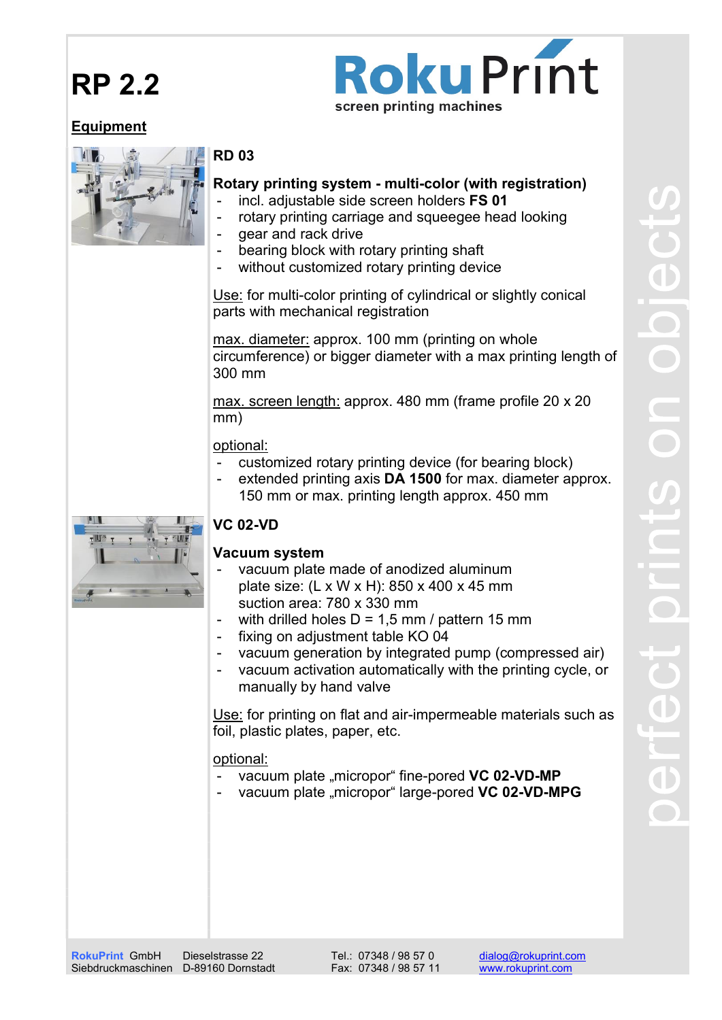

# Equipment



### RD 03

#### Rotary printing system - multi-color (with registration)

- incl. adjustable side screen holders FS 01
- rotary printing carriage and squeegee head looking
- gear and rack drive
- bearing block with rotary printing shaft
- without customized rotary printing device

Use: for multi-color printing of cylindrical or slightly conical parts with mechanical registration

max. diameter: approx. 100 mm (printing on whole circumference) or bigger diameter with a max printing length of 300 mm

max. screen length: approx. 480 mm (frame profile 20 x 20 mm)

optional:

- customized rotary printing device (for bearing block)
- extended printing axis DA 1500 for max. diameter approx. 150 mm or max. printing length approx. 450 mm



# VC 02-VD

#### Vacuum system

- vacuum plate made of anodized aluminum plate size: (L x W x H): 850 x 400 x 45 mm suction area: 780 x 330 mm
- with drilled holes  $D = 1.5$  mm / pattern 15 mm
- fixing on adjustment table KO 04
- vacuum generation by integrated pump (compressed air)
- vacuum activation automatically with the printing cycle, or manually by hand valve

Use: for printing on flat and air-impermeable materials such as foil, plastic plates, paper, etc.

optional:

- vacuum plate "micropor" fine-pored VC 02-VD-MP
- vacuum plate "micropor" large-pored VC 02-VD-MPG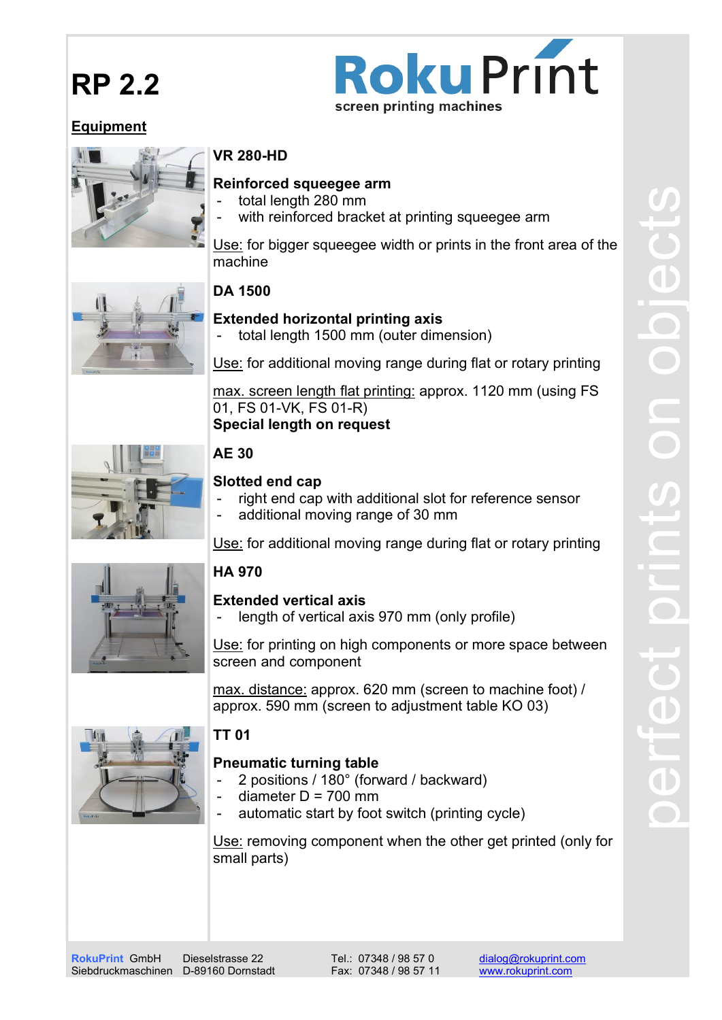

# Equipment



### VR 280-HD

#### Reinforced squeegee arm

- total length 280 mm
- with reinforced bracket at printing squeegee arm

Use: for bigger squeegee width or prints in the front area of the machine



# DA 1500

### Extended horizontal printing axis

total length 1500 mm (outer dimension)

Use: for additional moving range during flat or rotary printing

max. screen length flat printing: approx. 1120 mm (using FS 01, FS 01-VK, FS 01-R) Special length on request



# AE 30

### Slotted end cap

- right end cap with additional slot for reference sensor
- additional moving range of 30 mm

Use: for additional moving range during flat or rotary printing



### HA 970

# Extended vertical axis

length of vertical axis 970 mm (only profile)

Use: for printing on high components or more space between screen and component

max. distance: approx. 620 mm (screen to machine foot) / approx. 590 mm (screen to adjustment table KO 03)



### TT 01

### Pneumatic turning table

- 2 positions / 180° (forward / backward)
- diameter  $D = 700$  mm
- automatic start by foot switch (printing cycle)

Use: removing component when the other get printed (only for small parts)